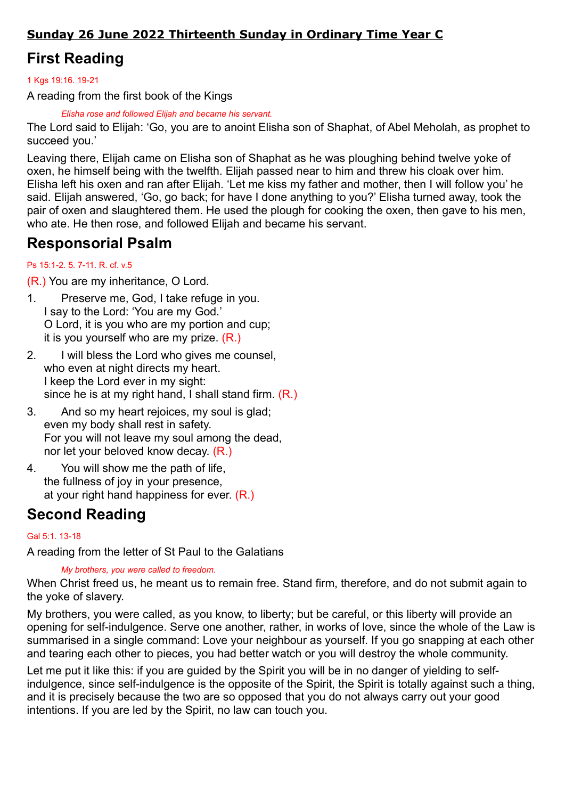### Sunday 26 June 2022 Thirteenth Sunday in Ordinary Time Year C

# First Reading

#### 1 Kgs 19:16. 19-21

A reading from the first book of the Kings

Elisha rose and followed Elijah and became his servant.

The Lord said to Elijah: 'Go, you are to anoint Elisha son of Shaphat, of Abel Meholah, as prophet to succeed you.'

Leaving there, Elijah came on Elisha son of Shaphat as he was ploughing behind twelve yoke of oxen, he himself being with the twelfth. Elijah passed near to him and threw his cloak over him. Elisha left his oxen and ran after Elijah. 'Let me kiss my father and mother, then I will follow you' he said. Elijah answered, 'Go, go back; for have I done anything to you?' Elisha turned away, took the pair of oxen and slaughtered them. He used the plough for cooking the oxen, then gave to his men, who ate. He then rose, and followed Elijah and became his servant.

## Responsorial Psalm

#### Ps 15:1-2. 5. 7-11. R. cf. v.5

(R.) You are my inheritance, O Lord.

- 1. Preserve me, God, I take refuge in you. I say to the Lord: 'You are my God.' O Lord, it is you who are my portion and cup; it is you yourself who are my prize. (R.)
- 2. I will bless the Lord who gives me counsel, who even at night directs my heart. I keep the Lord ever in my sight: since he is at my right hand, I shall stand firm. (R.)
- 3. And so my heart rejoices, my soul is glad; even my body shall rest in safety. For you will not leave my soul among the dead, nor let your beloved know decay. (R.)
- 4. You will show me the path of life, the fullness of joy in your presence, at your right hand happiness for ever. (R.)

## Second Reading

#### Gal 5:1. 13-18

A reading from the letter of St Paul to the Galatians

My brothers, you were called to freedom.

When Christ freed us, he meant us to remain free. Stand firm, therefore, and do not submit again to the yoke of slavery.

My brothers, you were called, as you know, to liberty; but be careful, or this liberty will provide an opening for self-indulgence. Serve one another, rather, in works of love, since the whole of the Law is summarised in a single command: Love your neighbour as yourself. If you go snapping at each other and tearing each other to pieces, you had better watch or you will destroy the whole community.

Let me put it like this: if you are guided by the Spirit you will be in no danger of yielding to selfindulgence, since self-indulgence is the opposite of the Spirit, the Spirit is totally against such a thing, and it is precisely because the two are so opposed that you do not always carry out your good intentions. If you are led by the Spirit, no law can touch you.